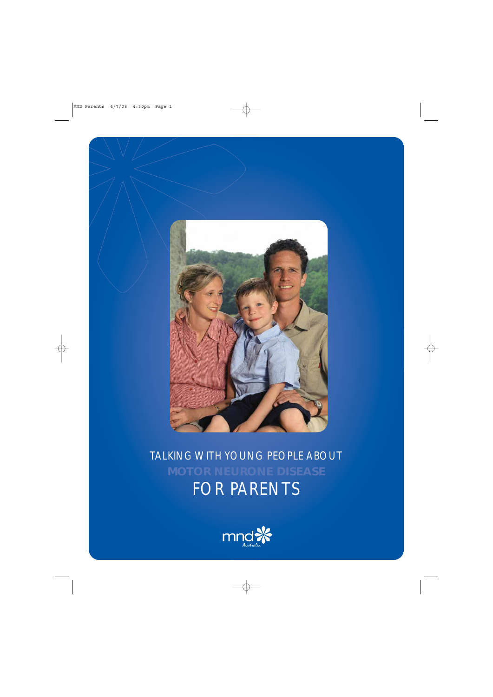

TALKING WITH YOUNG PEOPLE ABOUT FOR PARENTS

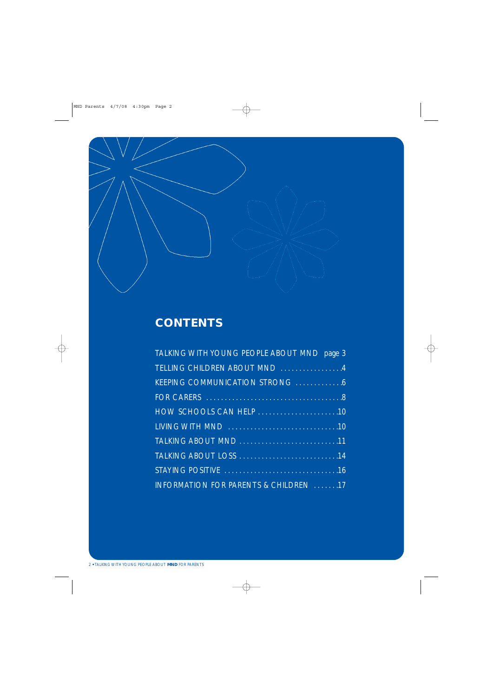

### **CONTENTS**

| TALKING WITH YOUNG PEOPLE ABOUT MND page 3 |
|--------------------------------------------|
| TELLING CHILDREN ABOUT MND 4               |
|                                            |
|                                            |
|                                            |
|                                            |
|                                            |
|                                            |
|                                            |
| INFORMATION FOR PARENTS & CHILDREN 17      |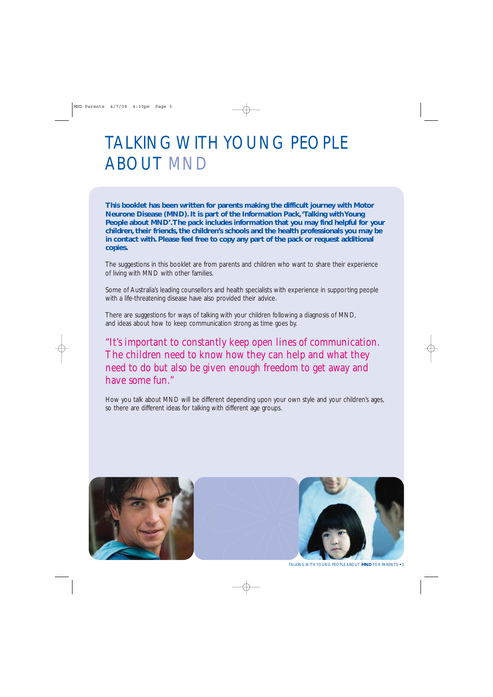### TALKING WITH YOUNG PEOPLE ABOUT MND

**This booklet has been written for parents making the difficult journey with Motor Neurone Disease (MND). It is part of the Information Pack,'Talking with Young People about MND'.The pack includes information that you may find helpful for your children, their friends, the children's schools and the health professionals you may be in contact with. Please feel free to copy any part of the pack or request additional copies.**

The suggestions in this booklet are from parents and children who want to share their experience of living with MND with other families.

Some of Australia's leading counsellors and health specialists with experience in supporting people with a life-threatening disease have also provided their advice.

There are suggestions for ways of talking with your children following a diagnosis of MND, and ideas about how to keep communication strong as time goes by.

### "It's important to constantly keep open lines of communication. The children need to know how they can help and what they need to do but also be given enough freedom to get away and have some fun."

How you talk about MND will be different depending upon your own style and your children's ages, so there are different ideas for talking with different age groups.

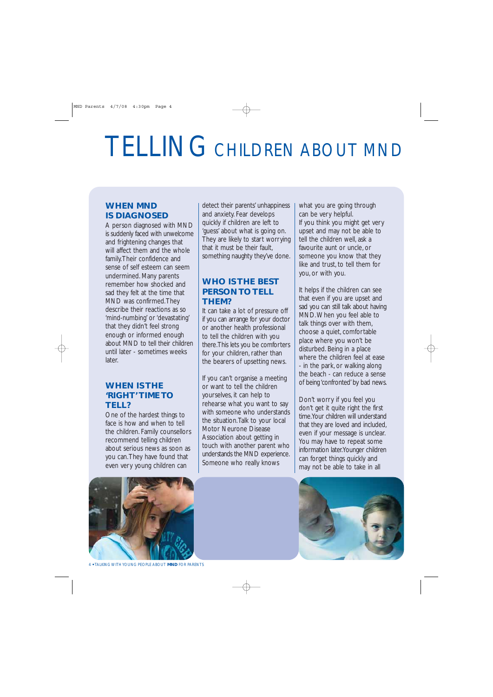## TELLING CHILDREN ABOUT MND

### **WHEN MND IS DIAGNOSED**

A person diagnosed with MND is suddenly faced with unwelcome and frightening changes that will affect them and the whole family.Their confidence and sense of self esteem can seem undermined. Many parents remember how shocked and sad they felt at the time that MND was confirmed.They describe their reactions as so 'mind-numbing' or 'devastating' that they didn't feel strong enough or informed enough about MND to tell their children until later - sometimes weeks later.

### **WHEN IS THE 'RIGHT' TIME TO TELL?**

One of the hardest things to face is how and when to tell the children. Family counsellors recommend telling children about serious news as soon as you can.They have found that even very young children can

detect their parents' unhappiness and anxiety. Fear develops quickly if children are left to 'guess' about what is going on. They are likely to start worrying that it must be their fault, something naughty they've done.

### **WHO IS THE BEST PERSON TO TELL THEM?**

It can take a lot of pressure off if you can arrange for your doctor or another health professional to tell the children with you there.This lets you be comforters for your children, rather than the bearers of upsetting news.

If you can't organise a meeting or want to tell the children yourselves, it can help to rehearse what you want to say with someone who understands the situation.Talk to your local Motor Neurone Disease Association about getting in touch with another parent who understands the MND experience. Someone who really knows

what you are going through can be very helpful. If you think you might get very upset and may not be able to tell the children well, ask a favourite aunt or uncle, or someone you know that they like and trust, to tell them for you, or with you.

It helps if the children can see that even if you are upset and sad you can still talk about having MND.When you feel able to talk things over with them, choose a quiet, comfortable place where you won't be disturbed. Being in a place where the children feel at ease - in the park, or walking along the beach - can reduce a sense of being 'confronted' by bad news.

Don't worry if you feel you don't get it quite right the first time.Your children will understand that they are loved and included, even if your message is unclear. You may have to repeat some information later.Younger children can forget things quickly and may not be able to take in all



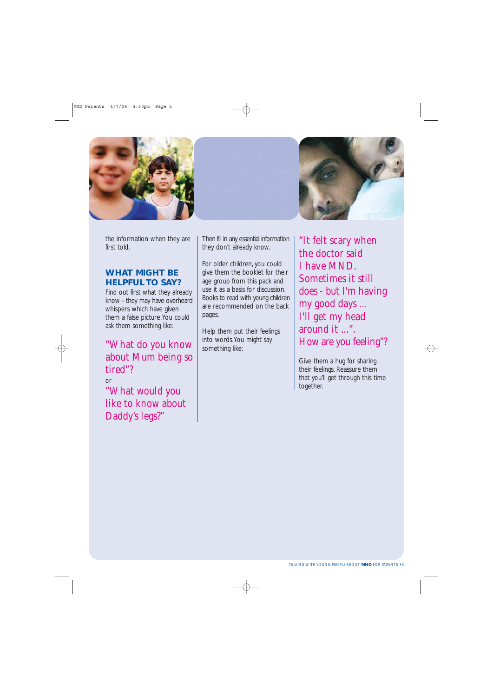



the information when they are first told.

### **WHAT MIGHT BE HELPFUL TO SAY?**

Find out first what they already know - they may have overheard whispers which have given them a false picture.You could ask them something like:

"What do you know about Mum being so tired"?

or "What would you like to know about Daddy's legs?"

Then fill in any essential information they don't already know.

For older children, you could give them the booklet for their age group from this pack and use it as a basis for discussion. Books to read with young children are recommended on the back pages.

Help them put their feelings into words.You might say something like:

"It felt scary when the doctor said I have MND. Sometimes it still does - but I'm having my good days ... I'll get my head around it ...". How are you feeling"?

Give them a hug for sharing their feelings. Reassure them that you'll get through this time together.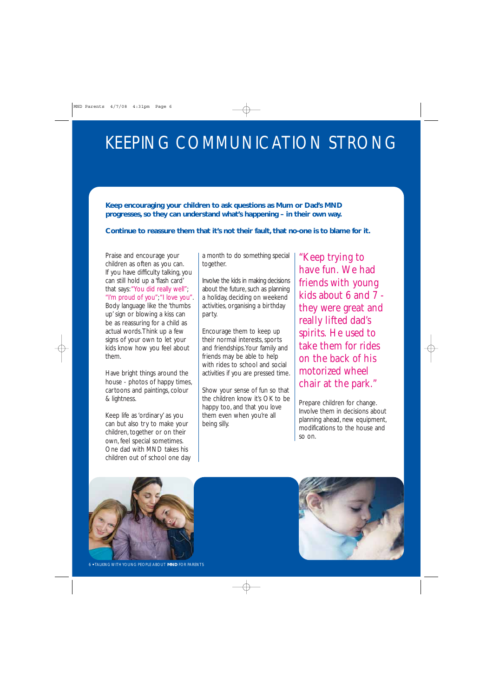### KEEPING COMMUNICATION STRONG

**Keep encouraging your children to ask questions as Mum or Dad's MND progresses, so they can understand what's happening – in their own way.**

### **Continue to reassure them that it's not their fault, that no-one is to blame for it.**

Praise and encourage your children as often as you can. If you have difficulty talking, you can still hold up a 'flash card' that says:"You did really well"; "I'm proud of you";"I love you". Body language like the 'thumbs up' sign or blowing a kiss can be as reassuring for a child as actual words.Think up a few signs of your own to let your kids know how you feel about them.

Have bright things around the house - photos of happy times, cartoons and paintings, colour & lightness.

Keep life as 'ordinary' as you can but also try to make your children, together or on their own, feel special sometimes. One dad with MND takes his children out of school one day a month to do something special together.

Involve the kids in making decisions about the future, such as planning a holiday, deciding on weekend activities, organising a birthday party.

Encourage them to keep up their normal interests, sports and friendships.Your family and friends may be able to help with rides to school and social activities if you are pressed time.

Show your sense of fun so that the children know it's OK to be happy too, and that you love them even when you're all being silly.

"Keep trying to have fun. We had friends with young kids about 6 and 7 they were great and really lifted dad's spirits. He used to take them for rides on the back of his motorized wheel chair at the park."

Prepare children for change. Involve them in decisions about planning ahead, new equipment, modifications to the house and so on.



6 **•** TALKING WITH YOUNG PEOPLE ABOUT **MND** FOR PARENTS

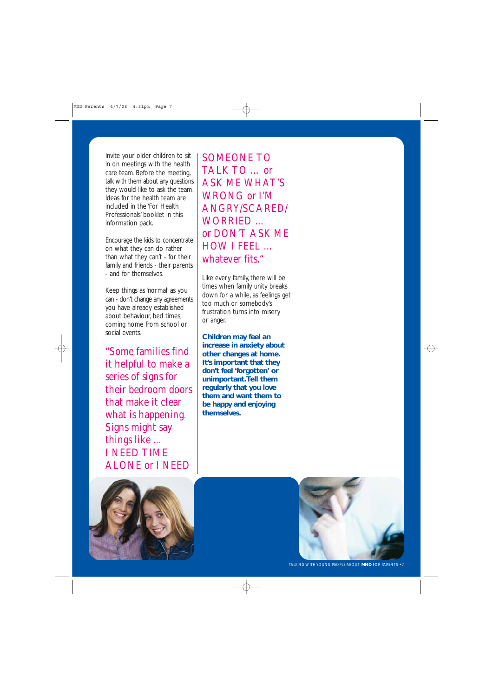Invite your older children to sit in on meetings with the health care team. Before the meeting, talk with them about any questions they would like to ask the team. Ideas for the health team are included in the 'For Health Professionals' booklet in this information pack.

Encourage the kids to concentrate on what they can do rather than what they can't - for their family and friends - their parents - and for themselves.

Keep things as 'normal' as you can - don't change any agreements you have already established about behaviour, bed times coming home from school or social events.

"Some families find it helpful to make a series of signs for their bedroom doors that make it clear what is happening. Signs might say things like ... I NEED TIME ALONE or I NEED

SOMEONE TO TALK TO … or ASK ME WHAT'S WRONG or I'M ANGRY/SCARED/ WORRIED … or DON'T ASK ME HOW I FEEL … whatever fits."

Like every family, there will be times when family unity breaks down for a while, as feelings get too much or somebody's frustration turns into misery or anger.

**Children may feel an increase in anxiety about other changes at home. It's important that they don't feel 'forgotten' or unimportant.Tell them regularly that you love them and want them to be happy and enjoying themselves.**



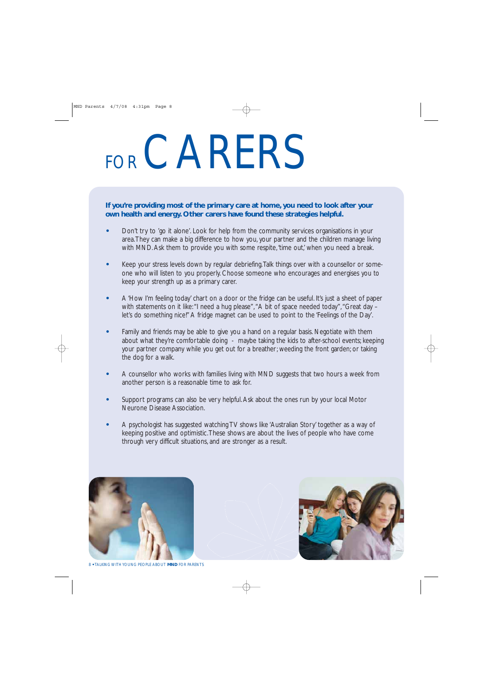# FOR CARERS

**If you're providing most of the primary care at home, you need to look after your own health and energy. Other carers have found these strategies helpful.**

- **•** Don't try to 'go it alone'. Look for help from the community services organisations in your area.They can make a big difference to how you, your partner and the children manage living with MND. Ask them to provide you with some respite, 'time out,' when you need a break.
- **•** Keep your stress levels down by regular debriefing.Talk things over with a counsellor or someone who will listen to you properly. Choose someone who encourages and energises you to keep your strength up as a primary carer.
- **•** A 'How I'm feeling today' chart on a door or the fridge can be useful. It's just a sheet of paper with statements on it like: "I need a hug please", "A bit of space needed today", "Great day let's do something nice!" A fridge magnet can be used to point to the 'Feelings of the Day'.
- **•** Family and friends may be able to give you a hand on a regular basis. Negotiate with them about what they're comfortable doing - maybe taking the kids to after-school events; keeping your partner company while you get out for a breather; weeding the front garden; or taking the dog for a walk.
- **•** A counsellor who works with families living with MND suggests that two hours a week from another person is a reasonable time to ask for.
- **•** Support programs can also be very helpful. Ask about the ones run by your local Motor Neurone Disease Association.
- **•** A psychologist has suggested watching TV shows like 'Australian Story' together as a way of keeping positive and optimistic.These shows are about the lives of people who have come through very difficult situations, and are stronger as a result.





8 **•** TALKING WITH YOUNG PEOPLE ABOUT **MND** FOR PARENTS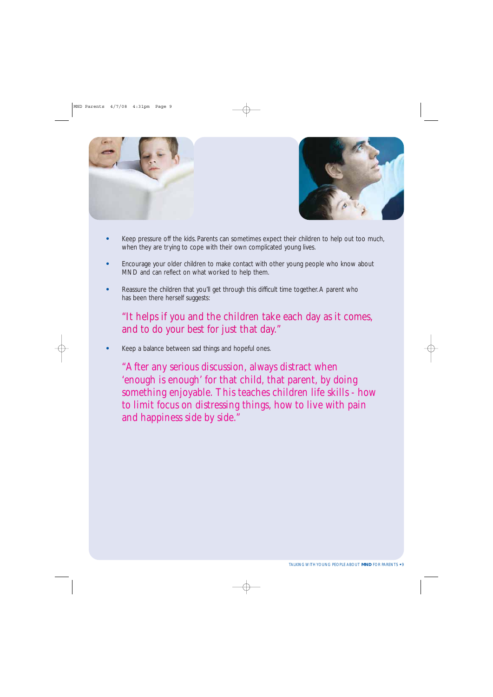



- **•** Keep pressure off the kids. Parents can sometimes expect their children to help out too much, when they are trying to cope with their own complicated young lives.
- **•** Encourage your older children to make contact with other young people who know about MND and can reflect on what worked to help them.
- **•** Reassure the children that you'll get through this difficult time together. A parent who has been there herself suggests:

### "It helps if you and the children take each day as it comes, and to do your best for just that day."

**•** Keep a balance between sad things and hopeful ones.

"After any serious discussion, always distract when 'enough is enough' for that child, that parent, by doing something enjoyable. This teaches children life skills - how to limit focus on distressing things, how to live with pain and happiness side by side."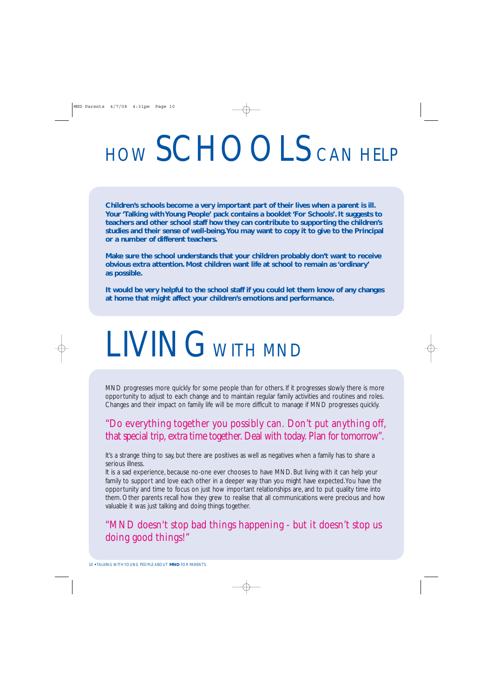# HOW SCHOOLS CAN HELP

**Children's schools become a very important part of their lives when a parent is ill. Your 'Talking with Young People' pack contains a booklet 'For Schools'. It suggests to teachers and other school staff how they can contribute to supporting the children's studies and their sense of well-being.You may want to copy it to give to the Principal or a number of different teachers.**

**Make sure the school understands that your children probably don't want to receive obvious extra attention. Most children want life at school to remain as 'ordinary' as possible.**

**It would be very helpful to the school staff if you could let them know of any changes at home that might affect your children's emotions and performance.**

## LIVING WITH MND

MND progresses more quickly for some people than for others. If it progresses slowly there is more opportunity to adjust to each change and to maintain regular family activities and routines and roles. Changes and their impact on family life will be more difficult to manage if MND progresses quickly.

### "Do everything together you possibly can. Don't put anything off, that special trip, extra time together. Deal with today. Plan for tomorrow".

It's a strange thing to say, but there are positives as well as negatives when a family has to share a serious illness.

It is a sad experience, because no-one ever chooses to have MND. But living with it can help your family to support and love each other in a deeper way than you might have expected. You have the opportunity and time to focus on just how important relationships are, and to put quality time into them. Other parents recall how they grew to realise that all communications were precious and how valuable it was just talking and doing things together.

### "MND doesn't stop bad things happening - but it doesn't stop us doing good things!"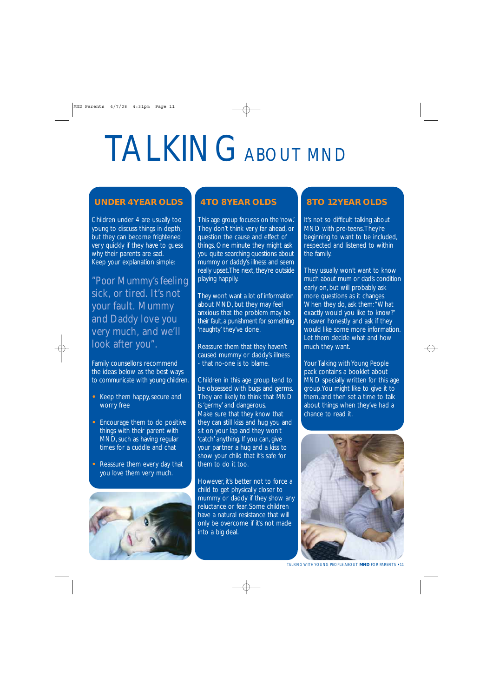# TALKINGABOUT MND

### **UNDER 4 YEAR OLDS**

Children under 4 are usually too young to discuss things in depth, but they can become frightened very quickly if they have to guess why their parents are sad. Keep your explanation simple:

"Poor Mummy's feeling sick, or tired. It's not your fault. Mummy and Daddy love you very much, and we'll look after you".

Family counsellors recommend the ideas below as the best ways to communicate with young children.

- **•** Keep them happy, secure and worry free
- **•** Encourage them to do positive things with their parent with MND, such as having regular times for a cuddle and chat
- **•** Reassure them every day that you love them very much.



### **4 TO 8 YEAR OLDS**

This age group focuses on the 'now.' They don't think very far ahead, or question the cause and effect of things. One minute they might ask you quite searching questions about mummy or daddy's illness and seem really upset.The next, they're outside playing happily.

They won't want a lot of information about MND, but they may feel anxious that the problem may be their fault, a punishment for something 'naughty' they've done.

Reassure them that they haven't caused mummy or daddy's illness - that no-one is to blame.

Children in this age group tend to be obsessed with bugs and germs. They are likely to think that MND is 'germy' and dangerous. Make sure that they know that they can still kiss and hug you and sit on your lap and they won't 'catch' anything. If you can, give your partner a hug and a kiss to show your child that it's safe for them to do it too.

However, it's better not to force a child to get physically closer to mummy or daddy if they show any reluctance or fear. Some children have a natural resistance that will only be overcome if it's not made into a big deal.

### **8 TO 12 YEAR OLDS**

It's not so difficult talking about MND with pre-teens.They're beginning to want to be included, respected and listened to within the family.

They usually won't want to know much about mum or dad's condition early on, but will probably ask more questions as it changes. When they do, ask them: "What exactly would you like to know?" Answer honestly and ask if they would like some more information. Let them decide what and how much they want.

Your Talking with Young People pack contains a booklet about MND specially written for this age group.You might like to give it to them, and then set a time to talk about things when they've had a chance to read it.



TALKING WITH YOUNG PEOPLE ABOUT **MND** FOR PARENTS **•** 11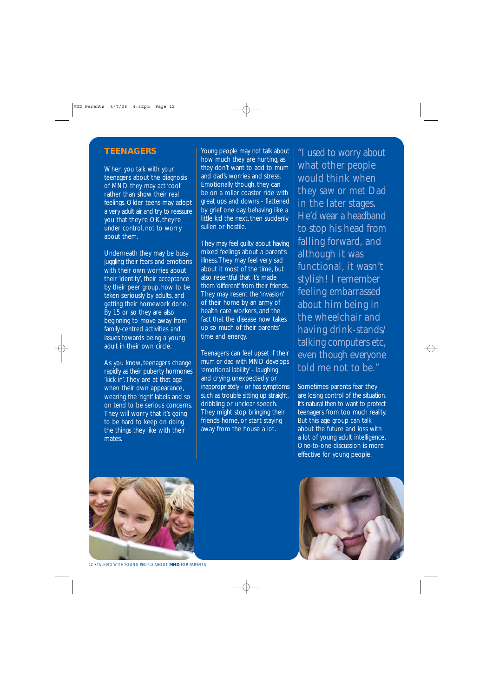### **TEENAGERS**

When you talk with your teenagers about the diagnosis of MND they may act 'cool' rather than show their real feelings. Older teens may adopt a very adult air, and try to reassure you that they're OK, they're under control, not to worry about them.

Underneath they may be busy juggling their fears and emotions with their own worries about their 'identity', their acceptance by their peer group, how to be taken seriously by adults, and getting their homework done. By 15 or so they are also beginning to move away from family-centred activities and issues towards being a young adult in their own circle.

As you know, teenagers change rapidly as their puberty hormones 'kick in'.They are at that age when their own appearance, wearing the 'right' labels and so on tend to be serious concerns. They will worry that it's going to be hard to keep on doing the things they like with their mates.

Young people may not talk about how much they are hurting, as they don't want to add to mum and dad's worries and stress. Emotionally though, they can be on a roller coaster ride with great ups and downs - flattened by grief one day, behaving like a little kid the next, then suddenly sullen or hostile.

They may feel guilty about having mixed feelings about a parent's illness.They may feel very sad about it most of the time, but also resentful that it's made them 'different' from their friends. They may resent the 'invasion' of their home by an army of health care workers, and the fact that the disease now takes up so much of their parents' time and energy.

Teenagers can feel upset if their mum or dad with MND develops 'emotional lability' - laughing and crying unexpectedly or inappropriately - or has symptoms such as trouble sitting up straight, dribbling or unclear speech. They might stop bringing their friends home, or start staying away from the house a lot.

"I used to worry about what other people would think when they saw or met Dad in the later stages. He'd wear a headband to stop his head from falling forward, and although it was functional, it wasn't stylish! I remember feeling embarrassed about him being in the wheelchair and having drink-stands/ talking computers etc, even though everyone told me not to be."

Sometimes parents fear they are losing control of the situation. It's natural then to want to protect teenagers from too much reality. But this age group can talk about the future and loss with a lot of young adult intelligence. One-to-one discussion is more effective for young people.



12 **•** TALKING WITH YOUNG PEOPLE ABOUT **MND** FOR PARENTS

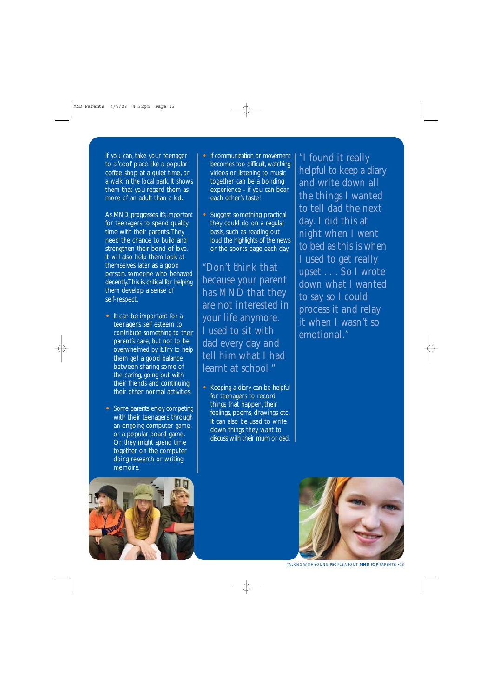If you can, take your teenager to a 'cool' place like a popular coffee shop at a quiet time, or a walk in the local park. It shows them that you regard them as more of an adult than a kid.

As MND progresses, it's important for teenagers to spend quality time with their parents.They need the chance to build and strengthen their bond of love. It will also help them look at themselves later as a good person, someone who behaved decently.This is critical for helping them develop a sense of self-respect.

- **•** It can be important for a teenager's self esteem to contribute something to their parent's care, but not to be overwhelmed by it.Try to help them get a good balance between sharing some of the caring, going out with their friends and continuing their other normal activities.
- **•** Some parents enjoy competing with their teenagers through an ongoing computer game, or a popular board game. Or they might spend time together on the computer doing research or writing memoirs.
- **•** If communication or movement becomes too difficult, watching videos or listening to music together can be a bonding experience - if you can bear each other's taste!
- **•** Suggest something practical they could do on a regular basis, such as reading out loud the highlights of the news or the sports page each day.

"Don't think that because your parent has MND that they are not interested in your life anymore. I used to sit with dad every day and tell him what I had learnt at school."

**•** Keeping a diary can be helpful for teenagers to record things that happen, their feelings, poems, drawings etc. It can also be used to write down things they want to discuss with their mum or dad.

"I found it really helpful to keep a diary and write down all the things I wanted to tell dad the next day. I did this at night when I went to bed as this is when I used to get really upset . . . So I wrote down what I wanted to say so I could process it and relay it when I wasn't so emotional."



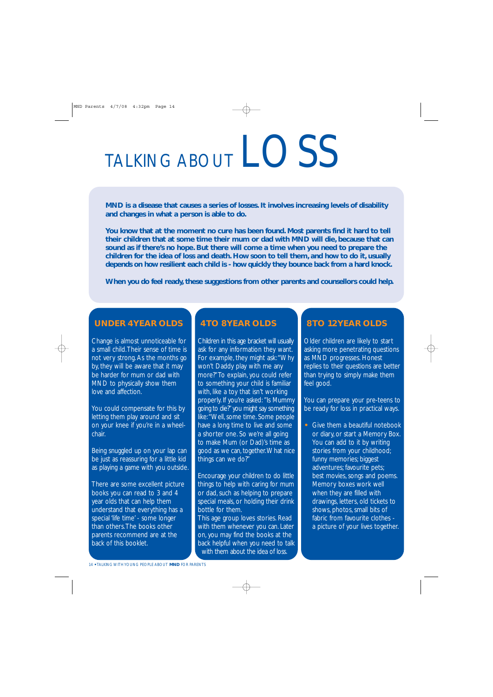# TALKING ABOUT LOSS

**MND is a disease that causes a series of losses. It involves increasing levels of disability and changes in what a person is able to do.**

**You know that at the moment no cure has been found. Most parents find it hard to tell their children that at some time their mum or dad with MND will die, because that can sound as if there's no hope. But there will come a time when you need to prepare the children for the idea of loss and death. How soon to tell them, and how to do it, usually depends on how resilient each child is - how quickly they bounce back from a hard knock.**

**When you do feel ready, these suggestions from other parents and counsellors could help.**

### **UNDER 4 YEAR OLDS**

Change is almost unnoticeable for a small child.Their sense of time is not very strong. As the months go by, they will be aware that it may be harder for mum or dad with MND to physically show them love and affection.

You could compensate for this by letting them play around and sit on your knee if you're in a wheelchair.

Being snuggled up on your lap can be just as reassuring for a little kid as playing a game with you outside.

There are some excellent picture books you can read to 3 and 4 year olds that can help them understand that everything has a special 'life time' - some longer than others.The books other parents recommend are at the back of this booklet.

### **4 TO 8 YEAR OLDS**

Children in this age bracket will usually ask for any information they want. For example, they might ask:"Why won't Daddy play with me any more?"To explain, you could refer to something your child is familiar with, like a toy that isn't working properly. If you're asked: "Is Mummy going to die?"you might say something like:"Well, some time. Some people have a long time to live and some a shorter one. So we're all going to make Mum (or Dad)'s time as good as we can, together.What nice things can we do?"

Encourage your children to do little things to help with caring for mum or dad, such as helping to prepare special meals, or holding their drink bottle for them.

This age group loves stories. Read with them whenever you can. Later on, you may find the books at the back helpful when you need to talk with them about the idea of loss.

### **8 TO 12 YEAR OLDS**

Older children are likely to start asking more penetrating questions as MND progresses. Honest replies to their questions are better than trying to simply make them feel good.

You can prepare your pre-teens to be ready for loss in practical ways.

**•** Give them a beautiful notebook or diary, or start a Memory Box. You can add to it by writing stories from your childhood; funny memories; biggest adventures; favourite pets; best movies, songs and poems. Memory boxes work well when they are filled with drawings, letters, old tickets to shows, photos, small bits of fabric from favourite clothes a picture of your lives together.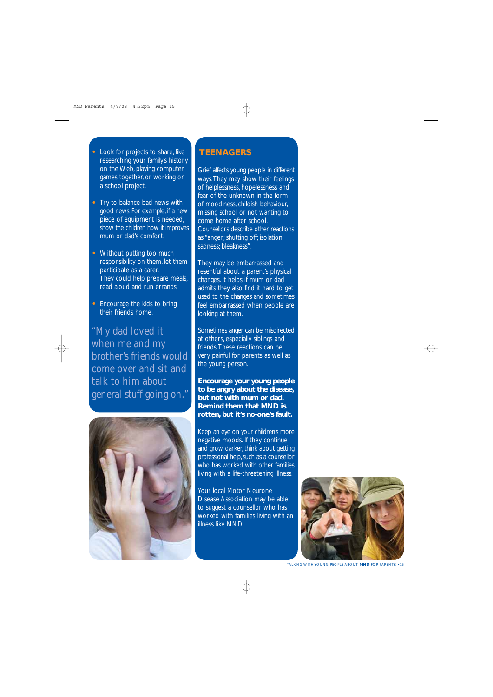- **•** Look for projects to share, like researching your family's history on the Web, playing computer games together, or working on a school project.
- **•** Try to balance bad news with good news. For example, if a new piece of equipment is needed, show the children how it improves mum or dad's comfort.
- **•** Without putting too much responsibility on them, let them participate as a carer. They could help prepare meals, read aloud and run errands.
- **•** Encourage the kids to bring their friends home.

"My dad loved it when me and my brother's friends would come over and sit and talk to him about general stuff going on."



### **TEENAGERS**

Grief affects young people in different ways.They may show their feelings of helplessness, hopelessness and fear of the unknown in the form of moodiness, childish behaviour, missing school or not wanting to come home after school. Counsellors describe other reactions as "anger; shutting off; isolation, sadness; bleakness".

They may be embarrassed and resentful about a parent's physical changes. It helps if mum or dad admits they also find it hard to get used to the changes and sometimes feel embarrassed when people are looking at them.

Sometimes anger can be misdirected at others, especially siblings and friends.These reactions can be very painful for parents as well as the young person.

**Encourage your young people to be angry about the disease, but not with mum or dad. Remind them that MND is rotten, but it's no-one's fault.**

Keep an eye on your children's more negative moods. If they continue and grow darker, think about getting professional help, such as a counsellor who has worked with other families living with a life-threatening illness.

Your local Motor Neurone Disease Association may be able to suggest a counsellor who has worked with families living with an illness like MND.



TALKING WITH YOUNG PEOPLE ABOUT **MND** FOR PARENTS **•** 15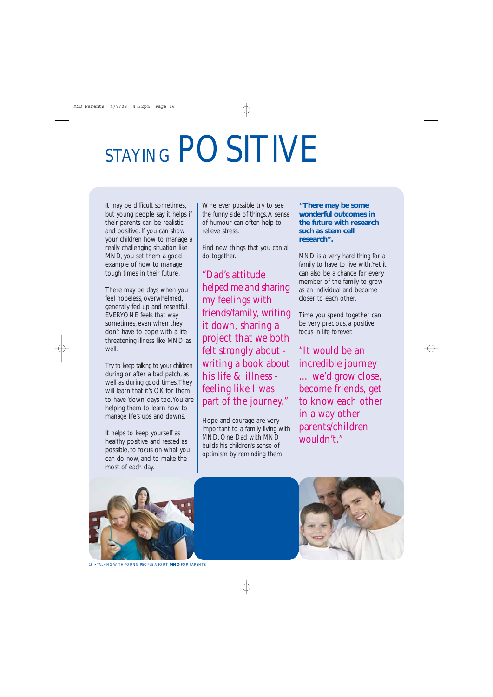# STAYING POSITIVE

It may be difficult sometimes, but young people say it helps if their parents can be realistic and positive. If you can show your children how to manage a really challenging situation like MND, you set them a good example of how to manage tough times in their future.

There may be days when you feel hopeless, overwhelmed, generally fed up and resentful. EVERYONE feels that way sometimes, even when they don't have to cope with a life threatening illness like MND as well.

Try to keep talking to your children during or after a bad patch, as well as during good times.They will learn that it's OK for them to have 'down' days too.You are helping them to learn how to manage life's ups and downs.

It helps to keep yourself as healthy, positive and rested as possible, to focus on what you can do now, and to make the most of each day.

Wherever possible try to see the funny side of things. A sense of humour can often help to relieve stress.

Find new things that you can all do together.

"Dad's attitude helped me and sharing my feelings with friends/family, writing it down, sharing a project that we both felt strongly about writing a book about his life & illness feeling like I was part of the journey."

Hope and courage are very important to a family living with MND. One Dad with MND builds his children's sense of optimism by reminding them:

**"There may be some wonderful outcomes in the future with research such as stem cell research".**

MND is a very hard thing for a family to have to live with. Yet it can also be a chance for every member of the family to grow as an individual and become closer to each other.

Time you spend together can be very precious, a positive focus in life forever.

"It would be an incredible journey … we'd grow close, become friends, get to know each other in a way other parents/children wouldn't."





16 **•** TALKING WITH YOUNG PEOPLE ABOUT **MND** FOR PARENTS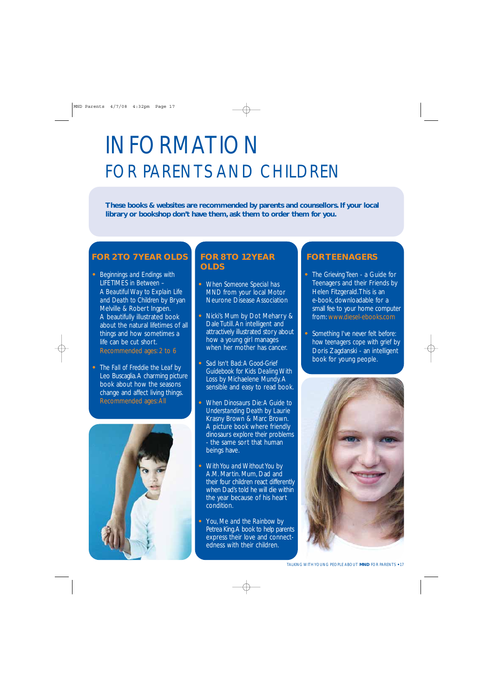## INFORMATION FOR PARENTS AND CHILDREN

**These books & websites are recommended by parents and counsellors. If your local library or bookshop don't have them, ask them to order them for you.**

### **FOR 2 TO 7 YEAR OLDS**

- **•** *Beginnings and Endings with LIFETIMES in Between – A Beautiful Way to Explain Life and Death to Children* by Bryan Melville & Robert Ingpen. A beautifully illustrated book about the natural lifetimes of all things and how sometimes a life can be cut short. Recommended ages: 2 to 6
- **•** *The Fall of Freddie the Leaf* by Leo Buscaglia. A charming picture book about how the seasons change and affect living things. Recommended ages: All



### **FOR 8 TO 12 YEAR OLDS**

- **•** *When Someone Special has MND* from your local Motor Neurone Disease Association
- **•** *Nicki's Mum* by Dot Meharry & Dale Tutill. An intelligent and attractively illustrated story about how a young girl manages when her mother has cancer
- **•** *Sad Isn't Bad: A Good-Grief Guidebook for Kids Dealing With Loss* by Michaelene Mundy. A sensible and easy to read book.
- **•** *When Dinosaurs Die: A Guide to Understanding Death* by Laurie Krasny Brown & Marc Brown. A picture book where friendly dinosaurs explore their problems - the same sort that human beings have.
- **•** *With You and Without You* by A.M. Martin. Mum, Dad and their four children react differently when Dad's told he will die within the year because of his heart condition.
- **•** Y*ou, Me and the Rainbow* by Petrea King.A book to help parents express their love and connectedness with their children.

### **FOR TEENAGERS**

- **•** *The Grieving Teen* a Guide for Teenagers and their Friends by Helen Fitzgerald.This is an e-book, downloadable for a small fee to your home computer from: www.diesel-ebooks.com
- **•** *Something I've never felt before: how teenagers cope with grief* by Doris Zagdanski - an intelligent book for young people.

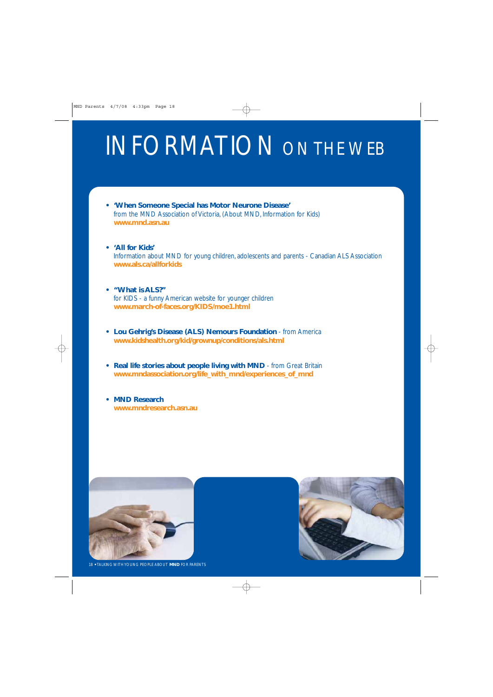## INFORMATION ON THE WEB

- **'When Someone Special has Motor Neurone Disease'** from the MND Association of Victoria, (About MND, Information for Kids) **www.mnd.asn.au**
- **'All for Kids'** Information about MND for young children, adolescents and parents - Canadian ALS Association **www.als.ca/allforkids**
- **"What is ALS?"**  for KIDS - a funny American website for younger children **www.march-of-faces.org/KIDS/moe1.html**
- **Lou Gehrig's Disease (ALS) Nemours Foundation** from America **www.kidshealth.org/kid/grownup/conditions/als.html**
- **Real life stories about people living with MND** from Great Britain **www.mndassociation.org/life\_with\_mnd/experiences\_of\_mnd**
- **MND Research www.mndresearch.asn.au**

![](_page_17_Picture_7.jpeg)

![](_page_17_Picture_8.jpeg)

18 **•** TALKING WITH YOUNG PEOPLE ABOUT **MND** FOR PARENTS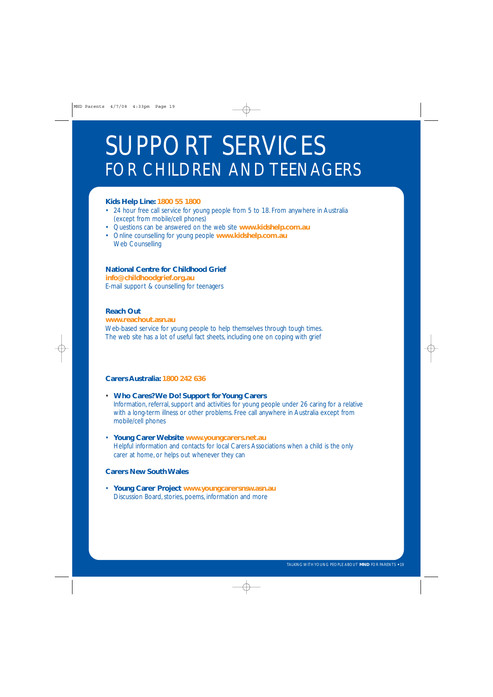## SUPPORT SERVICES FOR CHILDREN AND TEENAGERS

### **Kids Help Line: 1800 55 1800**

- 24 hour free call service for young people from 5 to 18. From anywhere in Australia (except from mobile/cell phones)
- Questions can be answered on the web site **www.kidshelp.com.au**
- Online counselling for young people **www.kidshelp.com.au** Web Counselling

### **National Centre for Childhood Grief**

**info@childhoodgrief.org.au**

E-mail support & counselling for teenagers

### **Reach Out**

### **www.reachout.asn.au**

Web-based service for young people to help themselves through tough times. The web site has a lot of useful fact sheets, including one on coping with grief

### **Carers Australia: 1800 242 636**

- **Who Cares? We Do! Support for Young Carers** Information, referral, support and activities for young people under 26 caring for a relative with a long-term illness or other problems. Free call anywhere in Australia except from mobile/cell phones
- **Young Carer Website www.youngcarers.net.au** Helpful information and contacts for local Carers Associations when a child is the only carer at home, or helps out whenever they can

#### **Carers New South Wales**

• **Young Carer Project www.youngcarersnsw.asn.au**  Discussion Board, stories, poems, information and more